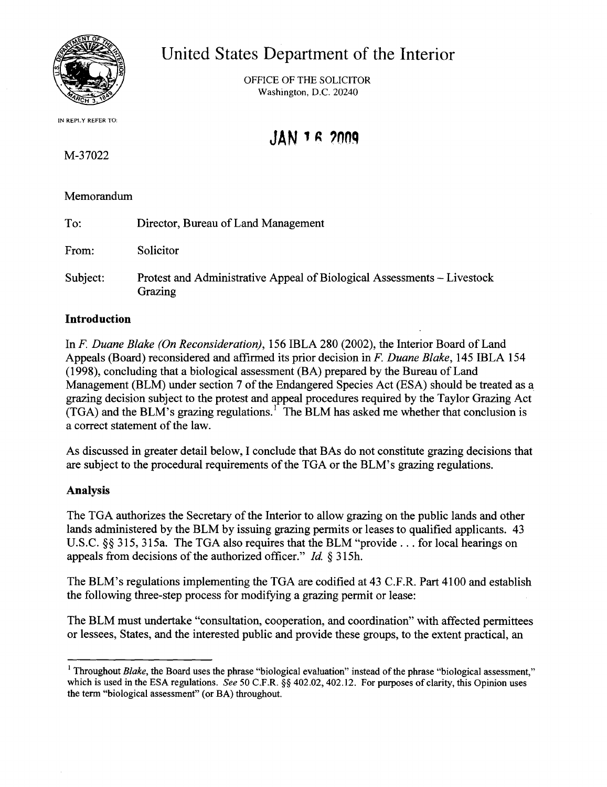

## United States Department of the Interior

OFFICE OF THE SOLICITOR Washington, D.C. 20240

# **JAN 1 R 'OOq**

M-37022

IN REPLY REFER TO:

### Memorandum

| To:      | Director, Bureau of Land Management                                                |
|----------|------------------------------------------------------------------------------------|
| From:    | Solicitor                                                                          |
| Subject: | Protest and Administrative Appeal of Biological Assessments – Livestock<br>Grazing |

#### **Introduction**

In *F Duane Blake (On Reconsideration),* 156 IBLA 280 (2002), the Interior Board of Land Appeals (Board) reconsidered and affirmed its prior decision in *F Duane Blake,* 145 IBLA 154  $(1998)$ , concluding that a biological assessment  $(BA)$  prepared by the Bureau of Land Management (BLM) under section 7 of the Endangered Species Act (ESA) should be treated as a grazing decision subject to the protest and appeal procedures required by the Taylor Grazing Act  $(TGA)$  and the BLM's grazing regulations.<sup>1</sup> The BLM has asked me whether that conclusion is a correct statement of the law.

As discussed in greater detail below, I conclude that BAs do not constitute grazing decisions that are subject to the procedural requirements ofthe TGA or the BLM's grazing regulations.

#### Analysis

The TGA authorizes the Secretary of the Interior to allow grazing on the public lands and other lands administered by the BLM by issuing grazing permits or leases to qualified applicants. 43 U.S.C. §§ 315, 315a. The TGA also requires that the BLM "provide ... for local hearings on appeals from decisions of the authorized officer." *Id.* § 315h.

The BLM's regulations implementing the TGA are codified at 43 C.F.R. Part 4100 and establish the following three-step process for modifying a grazing permit or lease:

The BLM must undertake "consultation, cooperation, and coordination" with affected permittees or lessees, States, and the interested public and provide these groups, to the extent practical, an

<sup>&</sup>lt;sup>1</sup> Throughout *Blake*, the Board uses the phrase "biological evaluation" instead of the phrase "biological assessment," which is used in the ESA regulations. *See* 50 C.F.R. §§ 402.02, 402.12. For purposes of clarity, this Opinion uses the term "biological assessment" (or BA) throughout.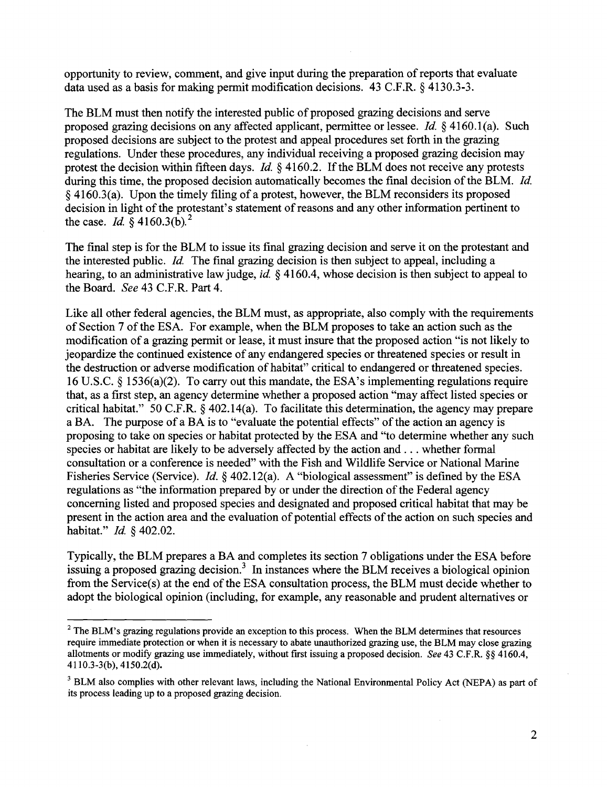opportunity to review, comment, and give input during the preparation of reports that evaluate data used as a basis for making permit modification decisions. 43 C.F.R. § 4130.3-3.

The BLM must then notify the interested public of proposed grazing decisions and serve proposed grazing decisions on any affected applicant, permittee or lessee. *Id.* § 4160.1 (a). Such proposed decisions are subject to the protest and appeal procedures set forth in the grazing regulations. Under these procedures, any individual receiving a proposed grazing decision may protest the decision within fifteen days. *Id.* § 4160.2. If the BLM does not receive any protests during this time, the proposed decision automatically becomes the final decision of the BLM. *Id.*  $§$  4160.3(a). Upon the timely filing of a protest, however, the BLM reconsiders its proposed decision in light of the protestant's statement of reasons and any other information pertinent to the case. *Id.*  $\frac{8}{9}$  4160.3(b).<sup>2</sup>

The final step is for the BLM to issue its final grazing decision and serve it on the protestant and the interested public. *Id.* The final grazing decision is then subject to appeal, including a hearing, to an administrative law judge, *id.* § 4160.4, whose decision is then subject to appeal to the Board. *See* 43 C.F.R. Part 4.

Like all other federal agencies, the BLM must, as appropriate, also comply with the requirements of Section 7 ofthe ESA. For example, when the BLM proposes to take an action such as the modification of a grazing permit or lease, it must insure that the proposed action "is not likely to jeopardize the continued existence of any endangered species or threatened species or result in the destruction or adverse modification of habitat" critical to endangered or threatened species. 16 U.S.C. § 1536(a)(2). To carry out this mandate, the ESA's implementing regulations require that, as a first step, an agency determine whether a proposed action "may affect listed species or critical habitat." 50 C.F.R. § 402.14(a). To facilitate this determination, the agency may prepare a BA. The purpose of a BA is to "evaluate the potential effects" of the action an agency is proposing to take on species or habitat protected by the ESA and "to determine whether any such species or habitat are likely to be adversely affected by the action and ... whether formal consultation or a conference is needed" with the Fish and Wildlife Service or National Marine Fisheries Service (Service). *Id.* § 402.12(a). A "biological assessment" is defined by the ESA regulations as "the information prepared by or under the direction of the Federal agency concerning listed and proposed species and designated and proposed critical habitat that may be present in the action area and the evaluation of potential effects of the action on such species and habitat." *Id.* § 402.02.

Typically, the BLM prepares a BA and completes its section 7 obligations under the ESA before issuing a proposed grazing decision.<sup>3</sup> In instances where the BLM receives a biological opinion from the Service(s) at the end of the ESA consultation process, the BLM must decide whether to adopt the biological opinion (including, for example, any reasonable and prudent alternatives or

 $2$  The BLM's grazing regulations provide an exception to this process. When the BLM determines that resources require immediate protection or when it is necessary to abate unauthorized grazing use, the BLM may close grazing allotments or modify grazing use immediately, without fIrst issuing a proposed decision. *See* 43 C.F.R. §§ 4160.4, 4110.3-3(b),4150.2(d).

<sup>&</sup>lt;sup>3</sup> BLM also complies with other relevant laws, including the National Environmental Policy Act (NEPA) as part of its process leading up to a proposed grazing decision.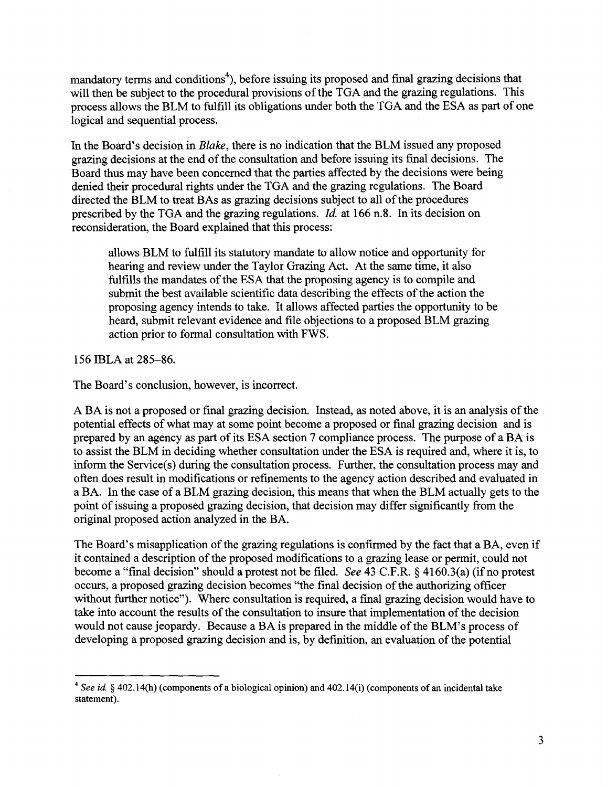mandatory terms and conditions<sup>4</sup>), before issuing its proposed and final grazing decisions that will then be subject to the procedural provisions of the TGA and the grazing regulations. This process allows the BLM to fulfill its obligations under both the TGA and the ESA as part of one logical and sequential process.

In the Board's decision in *Blake,* there is no indication that the BLM issued any proposed grazing decisions at the end ofthe consultation and before issuing its final decisions. The Board thus may have been concerned that the parties affected by the decisions were being denied their procedural rights under the TGA and the grazing regulations. The Board directed the BLM to treat BAs as grazing decisions subject to all of the procedures prescribed by the TGA and the grazing regulations. *Id.* at 166 n.8. In its decision on reconsideration, the Board explained that this process:

allows BLM to fulfill its statutory mandate to allow notice and opportunity for hearing and review under the Taylor Grazing Act. At the same time, it also fulfills the mandates of the ESA that the proposing agency is to compile and submit the best available scientific data describing the effects of the action the proposing agency intends to take. It allows affected parties the opportunity to be heard, submit relevant evidence and file objections to a proposed BLM grazing action prior to formal consultation with FWS.

156 IBLA at 285-86.

The Board's conclusion, however, is incorrect.

A BA is not a proposed or final grazing decision. Instead, as noted above, it is an analysis of the potential effects of what may at some point become a proposed or final grazing decision and is prepared by an agency as part of its ESA section 7 compliance process. The purpose of a BA is to assist the BLM in deciding whether consultation under the ESA is required and, where it is, to inform the Service(s) during the consultation process. Further, the consultation process may and often does result in modifications or refinements to the agency action described and evaluated in a BA. In the case of a BLM grazing decision, this means that when the BLM actually gets to the point of issuing a proposed grazing decision, that decision may differ significantly from the original proposed action analyzed in the BA.

The Board's misapplication of the grazing regulations is confirmed by the fact that a BA, even if it contained a description of the proposed modifications to a grazing lease or permit, could not become a "final decision" should a protest not be filed. *See* 43 C.F.R. § 4160.3(a) (if no protest occurs, a proposed grazing decision becomes "the final decision of the authorizing officer without further notice"). Where consultation is required, a final grazing decision would have to take into account the results of the consultation to insure that implementation of the decision would not cause jeopardy. Because a BA is prepared in the middle of the BLM's process of developing a proposed grazing decision and is, by definition, an evaluation of the potential

<sup>&</sup>lt;sup>4</sup> *See id.* § 402.14(h) (components of a biological opinion) and 402.14(i) (components of an incidental take statement).